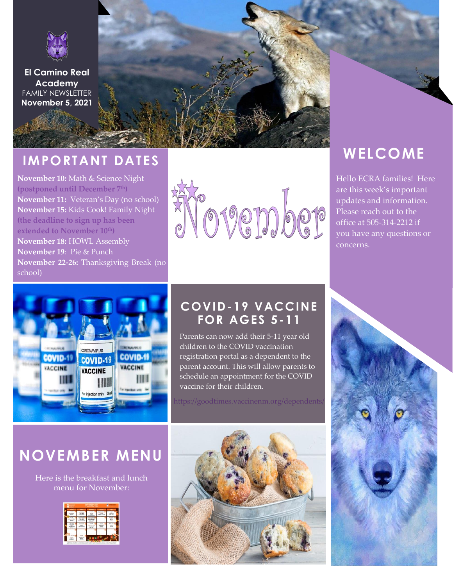

**El Camino Real Academy** FAMILY NEWSLETTER **November 5, 2021**

## **IMPORTANT DATES**

**November 10:** Math & Science Night **(postponed until December 7th) November 11:** Veteran's Day (no school) **November 15:** Kids Cook! Family Night **(the deadline to sign up has been extended to November 10th) November 18:** HOWL Assembly **November 19**: Pie & Punch **November 22-26:** Thanksgiving Break (no school)



## **WELCOME**

Hello ECRA families! Here are this week's important updates and information. Please reach out to the office at 505-314-2212 if you have any questions or concerns.



### **COVID-19 VACCINE FOR AGES 5-11**

Parents can now add their 5-11 year old children to the COVID vaccination registration portal as a dependent to the parent account. This will allow parents to schedule an appointment for the COVID vaccine for their children.

<https://goodtimes.vaccinenm.org/dependents/>





## **NOVEMBER MENU**

Here is the breakfast and lunch menu for November:

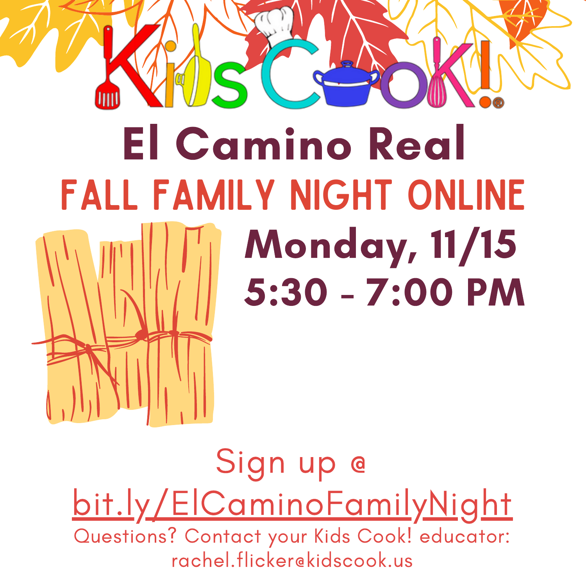# **El Camino Real FALL FAMILY NIGHT ONLINE**

## **Monday, 11/15** 5:30 - 7:00 PM

**OMDeDaDIO 000:00000 000:00000 0:0n000 OODaDmDaDIDeDOO DaDnDdD ORDeDdD DC** 0a000a0i010a00010e0 000o0 000a0m0i01 000e000o000e0 01010/010o0-0 000i000n0

Sign up @ bit.ly/ElCaminoFamilyNight Questions? Contact your Kids Cook! educator: rachel flicker@kidscook.us